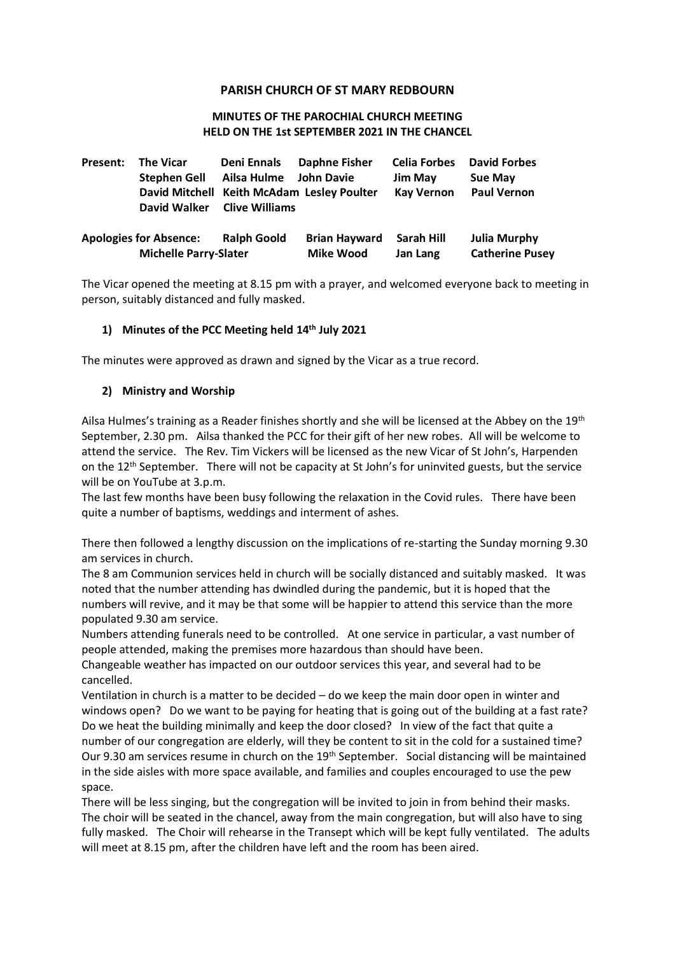## **PARISH CHURCH OF ST MARY REDBOURN**

#### **MINUTES OF THE PAROCHIAL CHURCH MEETING HELD ON THE 1st SEPTEMBER 2021 IN THE CHANCEL**

| Present: | <b>The Vicar</b>                                              | Deni Ennals           | <b>Daphne Fisher</b>                       | <b>Celia Forbes</b>    | <b>David Forbes</b>                           |
|----------|---------------------------------------------------------------|-----------------------|--------------------------------------------|------------------------|-----------------------------------------------|
|          | <b>Stephen Gell</b>                                           | Ailsa Hulme           | John Davie                                 | <b>Jim May</b>         | <b>Sue May</b>                                |
|          | David Walker                                                  | <b>Clive Williams</b> | David Mitchell Keith McAdam Lesley Poulter | <b>Kay Vernon</b>      | <b>Paul Vernon</b>                            |
|          | <b>Apologies for Absence:</b><br><b>Michelle Parry-Slater</b> | <b>Ralph Goold</b>    | <b>Brian Hayward</b><br><b>Mike Wood</b>   | Sarah Hill<br>Jan Lang | <b>Julia Murphy</b><br><b>Catherine Pusey</b> |

The Vicar opened the meeting at 8.15 pm with a prayer, and welcomed everyone back to meeting in person, suitably distanced and fully masked.

## **1) Minutes of the PCC Meeting held 14th July 2021**

The minutes were approved as drawn and signed by the Vicar as a true record.

#### **2) Ministry and Worship**

Ailsa Hulmes's training as a Reader finishes shortly and she will be licensed at the Abbey on the 19th September, 2.30 pm. Ailsa thanked the PCC for their gift of her new robes. All will be welcome to attend the service. The Rev. Tim Vickers will be licensed as the new Vicar of St John's, Harpenden on the 12<sup>th</sup> September. There will not be capacity at St John's for uninvited guests, but the service will be on YouTube at 3.p.m.

The last few months have been busy following the relaxation in the Covid rules. There have been quite a number of baptisms, weddings and interment of ashes.

There then followed a lengthy discussion on the implications of re-starting the Sunday morning 9.30 am services in church.

The 8 am Communion services held in church will be socially distanced and suitably masked. It was noted that the number attending has dwindled during the pandemic, but it is hoped that the numbers will revive, and it may be that some will be happier to attend this service than the more populated 9.30 am service.

Numbers attending funerals need to be controlled. At one service in particular, a vast number of people attended, making the premises more hazardous than should have been.

Changeable weather has impacted on our outdoor services this year, and several had to be cancelled.

Ventilation in church is a matter to be decided – do we keep the main door open in winter and windows open? Do we want to be paying for heating that is going out of the building at a fast rate? Do we heat the building minimally and keep the door closed? In view of the fact that quite a number of our congregation are elderly, will they be content to sit in the cold for a sustained time? Our 9.30 am services resume in church on the 19<sup>th</sup> September. Social distancing will be maintained in the side aisles with more space available, and families and couples encouraged to use the pew space.

There will be less singing, but the congregation will be invited to join in from behind their masks. The choir will be seated in the chancel, away from the main congregation, but will also have to sing fully masked. The Choir will rehearse in the Transept which will be kept fully ventilated. The adults will meet at 8.15 pm, after the children have left and the room has been aired.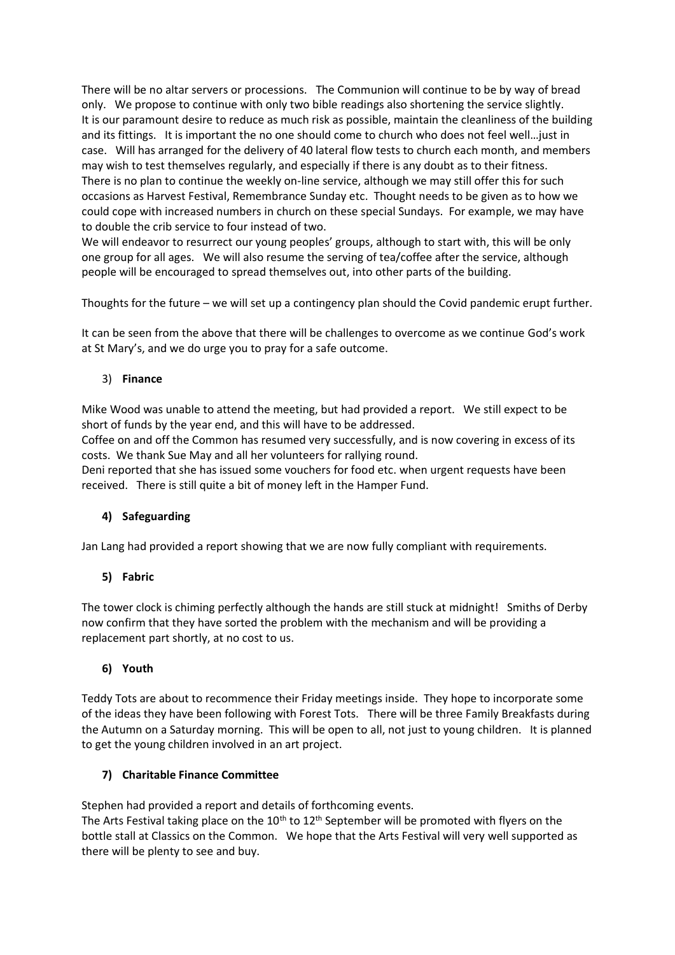There will be no altar servers or processions. The Communion will continue to be by way of bread only. We propose to continue with only two bible readings also shortening the service slightly. It is our paramount desire to reduce as much risk as possible, maintain the cleanliness of the building and its fittings. It is important the no one should come to church who does not feel well…just in case. Will has arranged for the delivery of 40 lateral flow tests to church each month, and members may wish to test themselves regularly, and especially if there is any doubt as to their fitness. There is no plan to continue the weekly on-line service, although we may still offer this for such occasions as Harvest Festival, Remembrance Sunday etc. Thought needs to be given as to how we could cope with increased numbers in church on these special Sundays. For example, we may have to double the crib service to four instead of two.

We will endeavor to resurrect our young peoples' groups, although to start with, this will be only one group for all ages. We will also resume the serving of tea/coffee after the service, although people will be encouraged to spread themselves out, into other parts of the building.

Thoughts for the future – we will set up a contingency plan should the Covid pandemic erupt further.

It can be seen from the above that there will be challenges to overcome as we continue God's work at St Mary's, and we do urge you to pray for a safe outcome.

# 3) **Finance**

Mike Wood was unable to attend the meeting, but had provided a report. We still expect to be short of funds by the year end, and this will have to be addressed.

Coffee on and off the Common has resumed very successfully, and is now covering in excess of its costs. We thank Sue May and all her volunteers for rallying round.

Deni reported that she has issued some vouchers for food etc. when urgent requests have been received. There is still quite a bit of money left in the Hamper Fund.

# **4) Safeguarding**

Jan Lang had provided a report showing that we are now fully compliant with requirements.

# **5) Fabric**

The tower clock is chiming perfectly although the hands are still stuck at midnight! Smiths of Derby now confirm that they have sorted the problem with the mechanism and will be providing a replacement part shortly, at no cost to us.

#### **6) Youth**

Teddy Tots are about to recommence their Friday meetings inside. They hope to incorporate some of the ideas they have been following with Forest Tots. There will be three Family Breakfasts during the Autumn on a Saturday morning. This will be open to all, not just to young children. It is planned to get the young children involved in an art project.

# **7) Charitable Finance Committee**

Stephen had provided a report and details of forthcoming events.

The Arts Festival taking place on the 10<sup>th</sup> to 12<sup>th</sup> September will be promoted with flyers on the bottle stall at Classics on the Common. We hope that the Arts Festival will very well supported as there will be plenty to see and buy.